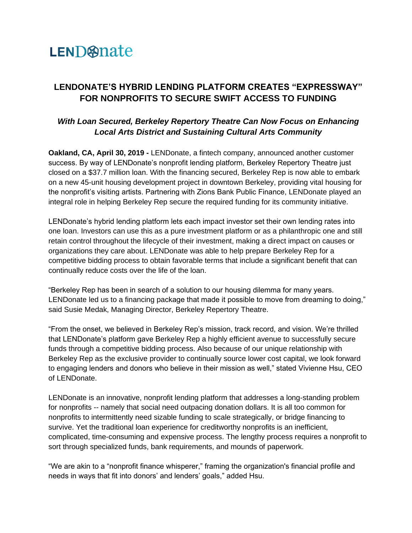## LEND@nate

## **LENDONATE'S HYBRID LENDING PLATFORM CREATES "EXPRESSWAY" FOR NONPROFITS TO SECURE SWIFT ACCESS TO FUNDING**

## *With Loan Secured, Berkeley Repertory Theatre Can Now Focus on Enhancing Local Arts District and Sustaining Cultural Arts Community*

**Oakland, CA, April 30, 2019 -** LENDonate, a fintech company, announced another customer success. By way of LENDonate's nonprofit lending platform, Berkeley Repertory Theatre just closed on a \$37.7 million loan. With the financing secured, Berkeley Rep is now able to embark on a new 45-unit housing development project in downtown Berkeley, providing vital housing for the nonprofit's visiting artists. Partnering with Zions Bank Public Finance, LENDonate played an integral role in helping Berkeley Rep secure the required funding for its community initiative.

LENDonate's hybrid lending platform lets each impact investor set their own lending rates into one loan. Investors can use this as a pure investment platform or as a philanthropic one and still retain control throughout the lifecycle of their investment, making a direct impact on causes or organizations they care about. LENDonate was able to help prepare Berkeley Rep for a competitive bidding process to obtain favorable terms that include a significant benefit that can continually reduce costs over the life of the loan.

"Berkeley Rep has been in search of a solution to our housing dilemma for many years. LENDonate led us to a financing package that made it possible to move from dreaming to doing," said Susie Medak, Managing Director, Berkeley Repertory Theatre.

"From the onset, we believed in Berkeley Rep's mission, track record, and vision. We're thrilled that LENDonate's platform gave Berkeley Rep a highly efficient avenue to successfully secure funds through a competitive bidding process. Also because of our unique relationship with Berkeley Rep as the exclusive provider to continually source lower cost capital, we look forward to engaging lenders and donors who believe in their mission as well," stated Vivienne Hsu, CEO of LENDonate.

LENDonate is an innovative, nonprofit lending platform that addresses a long-standing problem for nonprofits -- namely that social need outpacing donation dollars. It is all too common for nonprofits to intermittently need sizable funding to scale strategically, or bridge financing to survive. Yet the traditional loan experience for creditworthy nonprofits is an inefficient, complicated, time-consuming and expensive process. The lengthy process requires a nonprofit to sort through specialized funds, bank requirements, and mounds of paperwork.

"We are akin to a "nonprofit finance whisperer," framing the organization's financial profile and needs in ways that fit into donors' and lenders' goals," added Hsu.